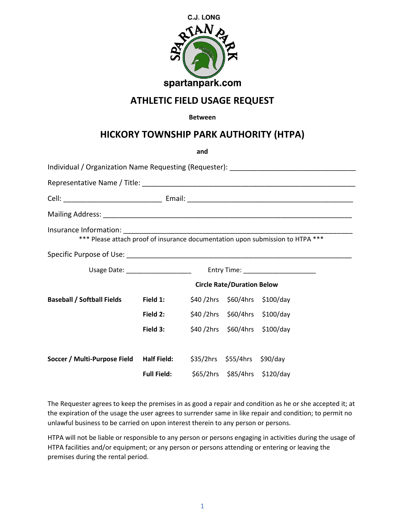

## **ATHLETIC FIELD USAGE REQUEST**

## **Between**

## **HICKORY TOWNSHIP PARK AUTHORITY (HTPA)**

|                                                                                |                                   | and |                               |  |  |  |  |
|--------------------------------------------------------------------------------|-----------------------------------|-----|-------------------------------|--|--|--|--|
|                                                                                |                                   |     |                               |  |  |  |  |
|                                                                                |                                   |     |                               |  |  |  |  |
|                                                                                |                                   |     |                               |  |  |  |  |
|                                                                                |                                   |     |                               |  |  |  |  |
| *** Please attach proof of insurance documentation upon submission to HTPA *** |                                   |     |                               |  |  |  |  |
|                                                                                |                                   |     |                               |  |  |  |  |
|                                                                                |                                   |     |                               |  |  |  |  |
|                                                                                | <b>Circle Rate/Duration Below</b> |     |                               |  |  |  |  |
| <b>Baseball / Softball Fields</b>                                              | Field 1:                          |     | \$40/2hrs \$60/4hrs \$100/day |  |  |  |  |
|                                                                                | Field 2:                          |     | \$40/2hrs \$60/4hrs \$100/day |  |  |  |  |
|                                                                                | Field 3:                          |     | \$40/2hrs \$60/4hrs \$100/day |  |  |  |  |
|                                                                                |                                   |     |                               |  |  |  |  |
| Soccer / Multi-Purpose Field Half Field: \$35/2hrs \$55/4hrs \$90/day          |                                   |     |                               |  |  |  |  |
|                                                                                | <b>Full Field:</b>                |     | \$65/2hrs \$85/4hrs \$120/day |  |  |  |  |

The Requester agrees to keep the premises in as good a repair and condition as he or she accepted it; at the expiration of the usage the user agrees to surrender same in like repair and condition; to permit no unlawful business to be carried on upon interest therein to any person or persons.

HTPA will not be liable or responsible to any person or persons engaging in activities during the usage of HTPA facilities and/or equipment; or any person or persons attending or entering or leaving the premises during the rental period.